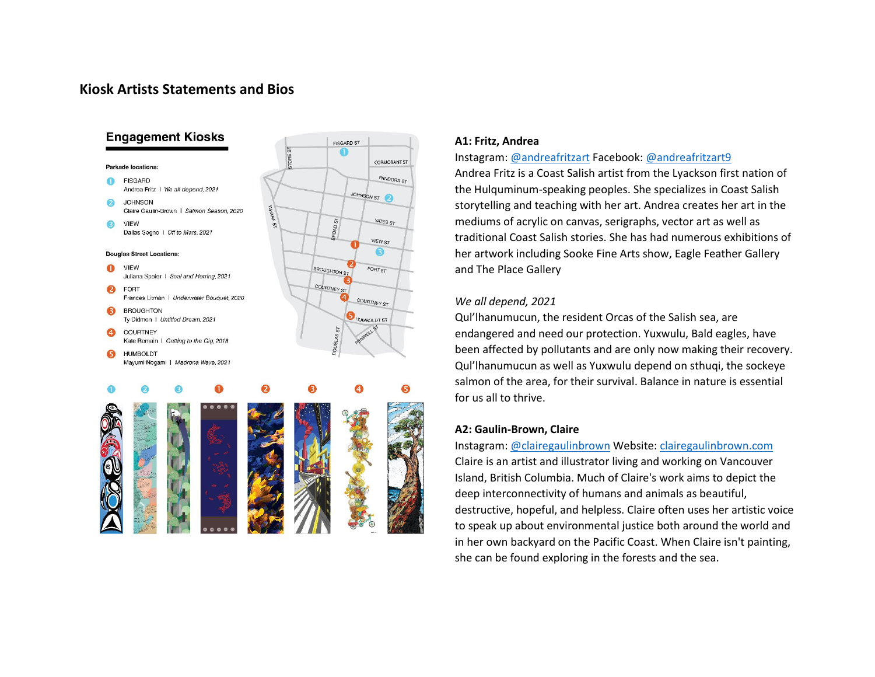# **Kiosk Artists Statements and Bios**



#### **A1: Fritz, Andrea**

#### Instagram: [@andreafritzart](https://www.instagram.com/andreafritzart/) Facebook[: @andreafritzart9](https://www.facebook.com/andreafritzart9)

Andrea Fritz is a Coast Salish artist from the Lyackson first nation of the Hulquminum-speaking peoples. She specializes in Coast Salish storytelling and teaching with her art. Andrea creates her art in the mediums of acrylic on canvas, serigraphs, vector art as well as traditional Coast Salish stories. She has had numerous exhibitions of her artwork including Sooke Fine Arts show, Eagle Feather Gallery and The Place Gallery

#### *We all depend, 2021*

Qul'lhanumucun, the resident Orcas of the Salish sea, are endangered and need our protection. Yuxwulu, Bald eagles, have been affected by pollutants and are only now making their recovery. Qul'lhanumucun as well as Yuxwulu depend on sthuqi, the sockeye salmon of the area, for their survival. Balance in nature is essential for us all to thrive.

#### **A2: Gaulin-Brown, Claire**

Instagram: [@clairegaulinbrown](https://www.instagram.com/clairegaulinbrown/) Website: [clairegaulinbrown.com](https://www.clairegaulinbrown.com/) Claire is an artist and illustrator living and working on Vancouver Island, British Columbia. Much of Claire's work aims to depict the deep interconnectivity of humans and animals as beautiful, destructive, hopeful, and helpless. Claire often uses her artistic voice to speak up about environmental justice both around the world and in her own backyard on the Pacific Coast. When Claire isn't painting, she can be found exploring in the forests and the sea.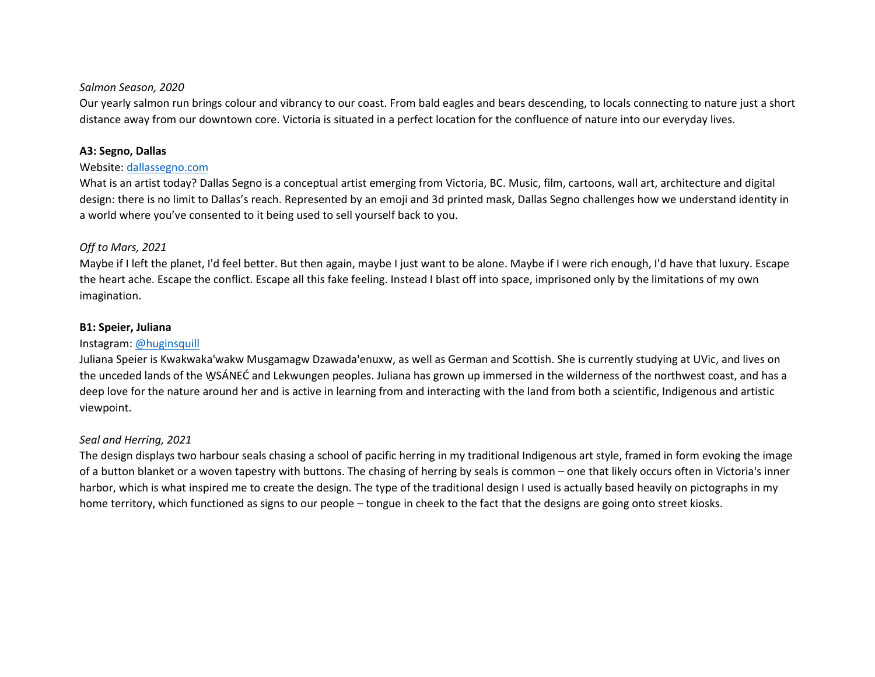#### *Salmon Season, 2020*

Our yearly salmon run brings colour and vibrancy to our coast. From bald eagles and bears descending, to locals connecting to nature just a short distance away from our downtown core. Victoria is situated in a perfect location for the confluence of nature into our everyday lives.

## **A3: Segno, Dallas**

### Website[: dallassegno.com](https://www.dallassegno.com/)

What is an artist today? Dallas Segno is a conceptual artist emerging from Victoria, BC. Music, film, cartoons, wall art, architecture and digital design: there is no limit to Dallas's reach. Represented by an emoji and 3d printed mask, Dallas Segno challenges how we understand identity in a world where you've consented to it being used to sell yourself back to you.

## *Off to Mars, 2021*

Maybe if I left the planet, I'd feel better. But then again, maybe I just want to be alone. Maybe if I were rich enough, I'd have that luxury. Escape the heart ache. Escape the conflict. Escape all this fake feeling. Instead I blast off into space, imprisoned only by the limitations of my own imagination.

### **B1: Speier, Juliana**

## Instagram: [@huginsquill](https://www.instagram.com/huginsquill/)

Juliana Speier is Kwakwaka'wakw Musgamagw Dzawada'enuxw, as well as German and Scottish. She is currently studying at UVic, and lives on the unceded lands of the W̱SÁNEĆ and Lekwungen peoples. Juliana has grown up immersed in the wilderness of the northwest coast, and has a deep love for the nature around her and is active in learning from and interacting with the land from both a scientific, Indigenous and artistic viewpoint.

## *Seal and Herring, 2021*

The design displays two harbour seals chasing a school of pacific herring in my traditional Indigenous art style, framed in form evoking the image of a button blanket or a woven tapestry with buttons. The chasing of herring by seals is common – one that likely occurs often in Victoria's inner harbor, which is what inspired me to create the design. The type of the traditional design I used is actually based heavily on pictographs in my home territory, which functioned as signs to our people – tongue in cheek to the fact that the designs are going onto street kiosks.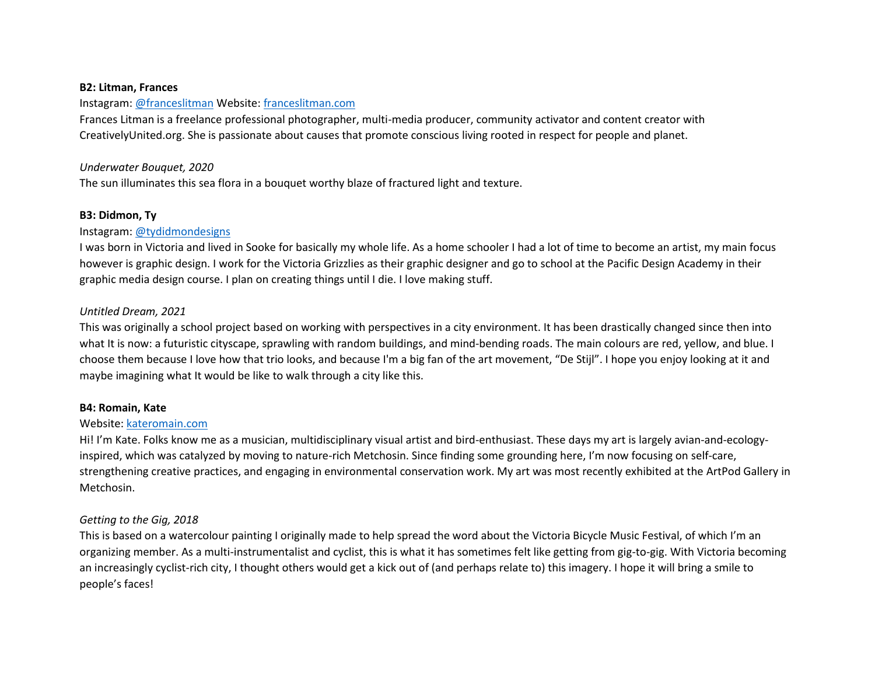#### **B2: Litman, Frances**

#### Instagram: [@franceslitman](https://www.instagram.com/franceslitman/) Website: [franceslitman.com](https://franceslitman.com/)

Frances Litman is a freelance professional photographer, multi-media producer, community activator and content creator with CreativelyUnited.org. She is passionate about causes that promote conscious living rooted in respect for people and planet.

#### *Underwater Bouquet, 2020*

The sun illuminates this sea flora in a bouquet worthy blaze of fractured light and texture.

#### **B3: Didmon, Ty**

#### Instagram: [@tydidmondesigns](https://www.instagram.com/tydidmondesigns/)

I was born in Victoria and lived in Sooke for basically my whole life. As a home schooler I had a lot of time to become an artist, my main focus however is graphic design. I work for the Victoria Grizzlies as their graphic designer and go to school at the Pacific Design Academy in their graphic media design course. I plan on creating things until I die. I love making stuff.

### *Untitled Dream, 2021*

This was originally a school project based on working with perspectives in a city environment. It has been drastically changed since then into what It is now: a futuristic cityscape, sprawling with random buildings, and mind-bending roads. The main colours are red, yellow, and blue. I choose them because I love how that trio looks, and because I'm a big fan of the art movement, "De Stijl". I hope you enjoy looking at it and maybe imagining what It would be like to walk through a city like this.

#### **B4: Romain, Kate**

### Website[: kateromain.com](https://kateromain.com/)

Hi! I'm Kate. Folks know me as a musician, multidisciplinary visual artist and bird-enthusiast. These days my art is largely avian-and-ecologyinspired, which was catalyzed by moving to nature-rich Metchosin. Since finding some grounding here, I'm now focusing on self-care, strengthening creative practices, and engaging in environmental conservation work. My art was most recently exhibited at the ArtPod Gallery in Metchosin.

### *Getting to the Gig, 2018*

This is based on a watercolour painting I originally made to help spread the word about the Victoria Bicycle Music Festival, of which I'm an organizing member. As a multi-instrumentalist and cyclist, this is what it has sometimes felt like getting from gig-to-gig. With Victoria becoming an increasingly cyclist-rich city, I thought others would get a kick out of (and perhaps relate to) this imagery. I hope it will bring a smile to people's faces!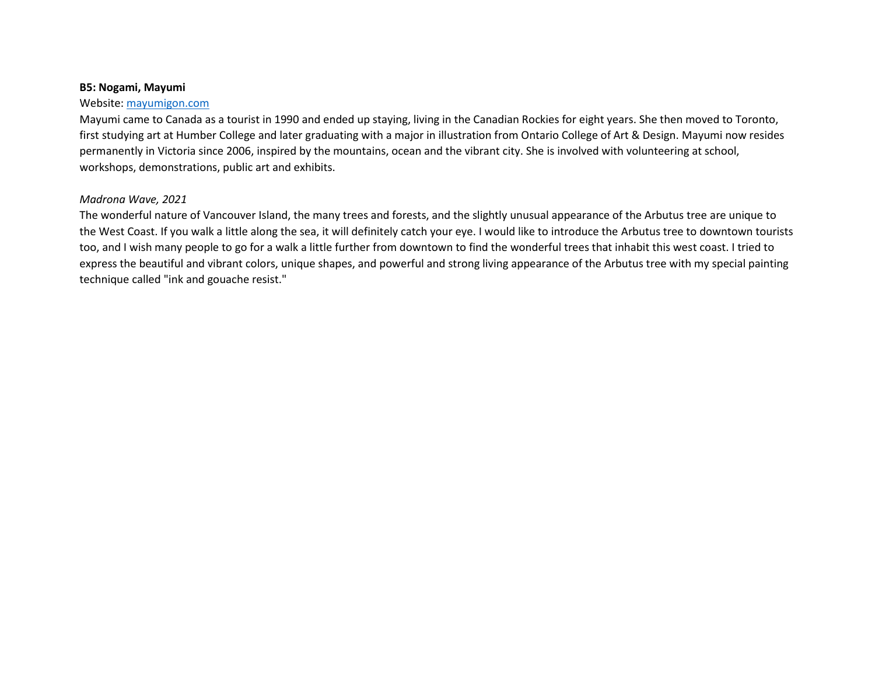### **B5: Nogami, Mayumi**

### Website: [mayumigon.com](http://www.mayumigon.com/)

Mayumi came to Canada as a tourist in 1990 and ended up staying, living in the Canadian Rockies for eight years. She then moved to Toronto, first studying art at Humber College and later graduating with a major in illustration from Ontario College of Art & Design. Mayumi now resides permanently in Victoria since 2006, inspired by the mountains, ocean and the vibrant city. She is involved with volunteering at school, workshops, demonstrations, public art and exhibits.

## *Madrona Wave, 2021*

The wonderful nature of Vancouver Island, the many trees and forests, and the slightly unusual appearance of the Arbutus tree are unique to the West Coast. If you walk a little along the sea, it will definitely catch your eye. I would like to introduce the Arbutus tree to downtown tourists too, and I wish many people to go for a walk a little further from downtown to find the wonderful trees that inhabit this west coast. I tried to express the beautiful and vibrant colors, unique shapes, and powerful and strong living appearance of the Arbutus tree with my special painting technique called "ink and gouache resist."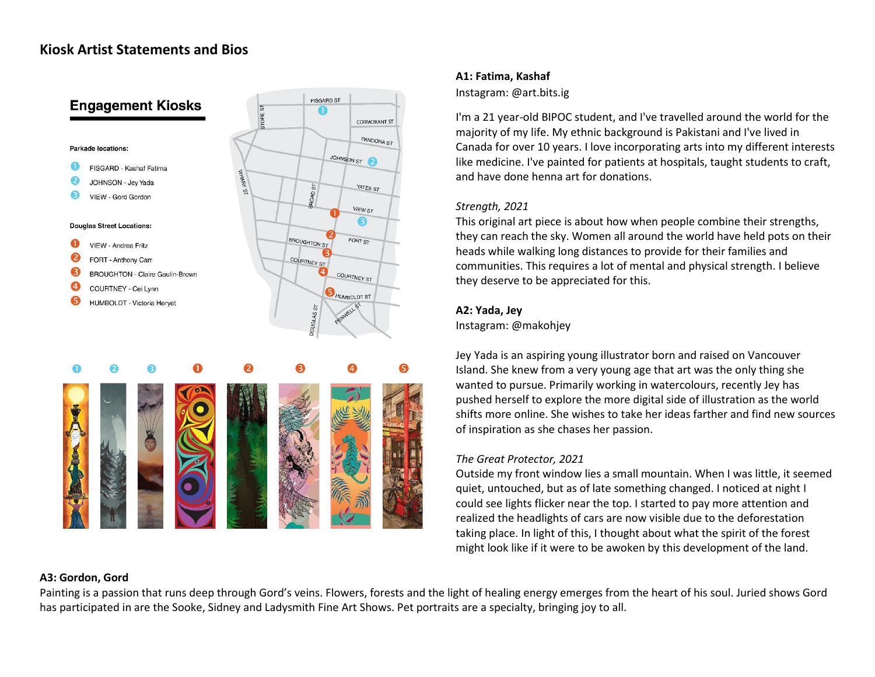# **Kiosk Artist Statements and Bios**



### **A1: Fatima, Kashaf**

#### Instagram: @art.bits.ig

I'm a 21 year-old BIPOC student, and I've travelled around the world for the majority of my life. My ethnic background is Pakistani and I've lived in Canada for over 10 years. I love incorporating arts into my different interests like medicine. I've painted for patients at hospitals, taught students to craft, and have done henna art for donations.

### *Strength, 2021*

This original art piece is about how when people combine their strengths, they can reach the sky. Women all around the world have held pots on their heads while walking long distances to provide for their families and communities. This requires a lot of mental and physical strength. I believe they deserve to be appreciated for this.

### **A2: Yada, Jey**

Instagram: @makohjey

Jey Yada is an aspiring young illustrator born and raised on Vancouver Island. She knew from a very young age that art was the only thing she wanted to pursue. Primarily working in watercolours, recently Jey has pushed herself to explore the more digital side of illustration as the world shifts more online. She wishes to take her ideas farther and find new sources of inspiration as she chases her passion.

## *The Great Protector, 2021*

Outside my front window lies a small mountain. When I was little, it seemed quiet, untouched, but as of late something changed. I noticed at night I could see lights flicker near the top. I started to pay more attention and realized the headlights of cars are now visible due to the deforestation taking place. In light of this, I thought about what the spirit of the forest might look like if it were to be awoken by this development of the land.

### **A3: Gordon, Gord**

Painting is a passion that runs deep through Gord's veins. Flowers, forests and the light of healing energy emerges from the heart of his soul. Juried shows Gord has participated in are the Sooke, Sidney and Ladysmith Fine Art Shows. Pet portraits are a specialty, bringing joy to all.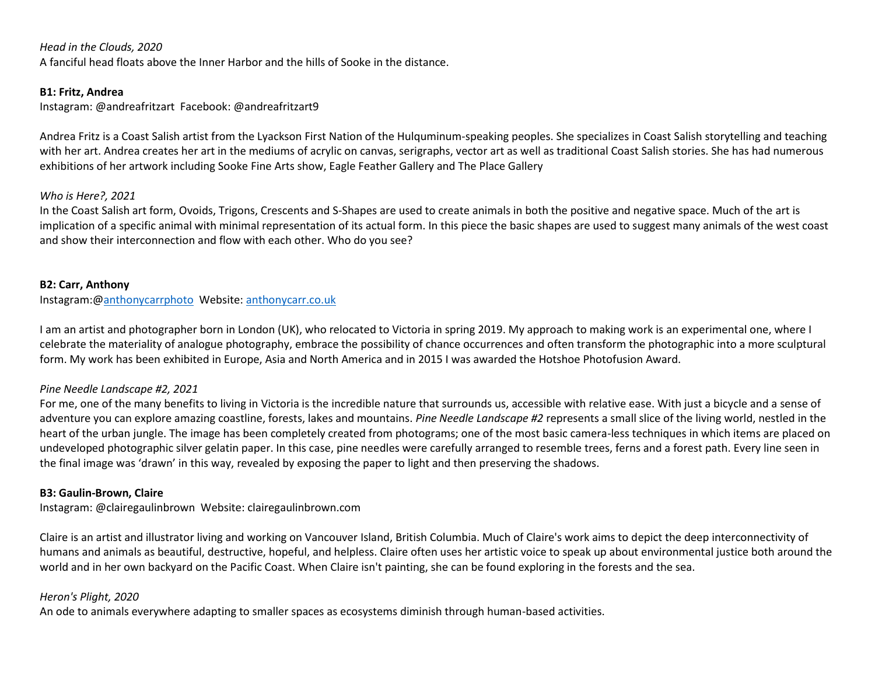#### *Head in the Clouds, 2020*

A fanciful head floats above the Inner Harbor and the hills of Sooke in the distance.

#### **B1: Fritz, Andrea**

Instagram: @andreafritzart Facebook: @andreafritzart9

Andrea Fritz is a Coast Salish artist from the Lyackson First Nation of the Hulquminum-speaking peoples. She specializes in Coast Salish storytelling and teaching with her art. Andrea creates her art in the mediums of acrylic on canvas, serigraphs, vector art as well as traditional Coast Salish stories. She has had numerous exhibitions of her artwork including Sooke Fine Arts show, Eagle Feather Gallery and The Place Gallery

#### *Who is Here?, 2021*

In the Coast Salish art form, Ovoids, Trigons, Crescents and S-Shapes are used to create animals in both the positive and negative space. Much of the art is implication of a specific animal with minimal representation of its actual form. In this piece the basic shapes are used to suggest many animals of the west coast and show their interconnection and flow with each other. Who do you see?

#### **B2: Carr, Anthony**

Instagram:[@anthonycarrphoto](https://www.instagram.com/anthonycarrphoto) Website[: anthonycarr.co.uk](http://www.anthonycarr.co.uk/) 

I am an artist and photographer born in London (UK), who relocated to Victoria in spring 2019. My approach to making work is an experimental one, where I celebrate the materiality of analogue photography, embrace the possibility of chance occurrences and often transform the photographic into a more sculptural form. My work has been exhibited in Europe, Asia and North America and in 2015 I was awarded the Hotshoe Photofusion Award.

### *Pine Needle Landscape #2, 2021*

For me, one of the many benefits to living in Victoria is the incredible nature that surrounds us, accessible with relative ease. With just a bicycle and a sense of adventure you can explore amazing coastline, forests, lakes and mountains. *Pine Needle Landscape #2* represents a small slice of the living world, nestled in the heart of the urban jungle. The image has been completely created from photograms; one of the most basic camera-less techniques in which items are placed on undeveloped photographic silver gelatin paper. In this case, pine needles were carefully arranged to resemble trees, ferns and a forest path. Every line seen in the final image was 'drawn' in this way, revealed by exposing the paper to light and then preserving the shadows.

#### **B3: Gaulin-Brown, Claire**

Instagram: @clairegaulinbrown Website: clairegaulinbrown.com

Claire is an artist and illustrator living and working on Vancouver Island, British Columbia. Much of Claire's work aims to depict the deep interconnectivity of humans and animals as beautiful, destructive, hopeful, and helpless. Claire often uses her artistic voice to speak up about environmental justice both around the world and in her own backyard on the Pacific Coast. When Claire isn't painting, she can be found exploring in the forests and the sea.

### *Heron's Plight, 2020*

An ode to animals everywhere adapting to smaller spaces as ecosystems diminish through human-based activities.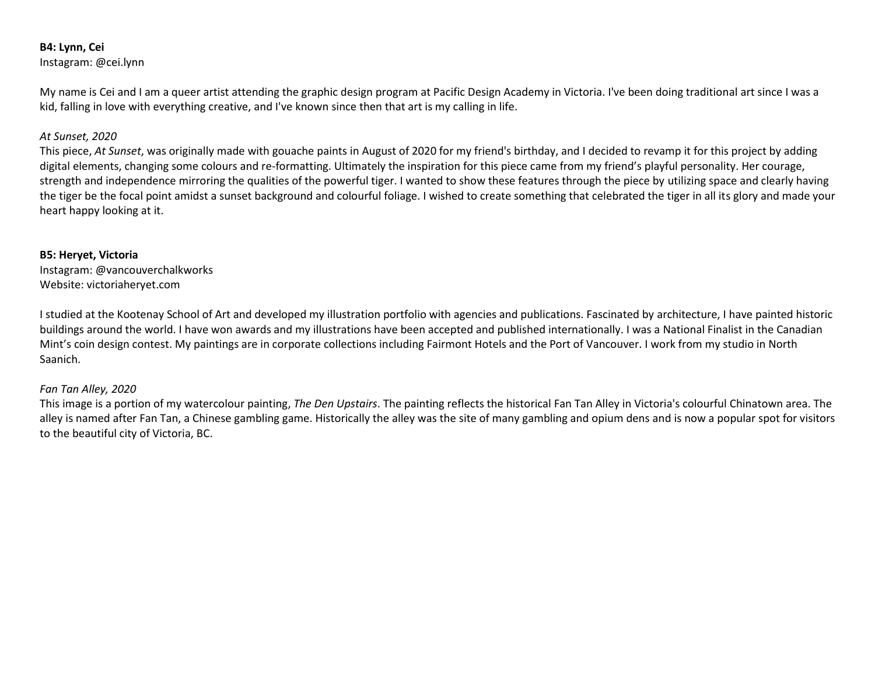# **B4: Lynn, Cei**

Instagram: @cei.lynn

My name is Cei and I am a queer artist attending the graphic design program at Pacific Design Academy in Victoria. I've been doing traditional art since I was a kid, falling in love with everything creative, and I've known since then that art is my calling in life.

## *At Sunset, 2020*

This piece, *At Sunset*, was originally made with gouache paints in August of 2020 for my friend's birthday, and I decided to revamp it for this project by adding digital elements, changing some colours and re-formatting. Ultimately the inspiration for this piece came from my friend's playful personality. Her courage, strength and independence mirroring the qualities of the powerful tiger. I wanted to show these features through the piece by utilizing space and clearly having the tiger be the focal point amidst a sunset background and colourful foliage. I wished to create something that celebrated the tiger in all its glory and made your heart happy looking at it.

### **B5: Heryet, Victoria**

Instagram: @vancouverchalkworks Website: victoriaheryet.com

I studied at the Kootenay School of Art and developed my illustration portfolio with agencies and publications. Fascinated by architecture, I have painted historic buildings around the world. I have won awards and my illustrations have been accepted and published internationally. I was a National Finalist in the Canadian Mint's coin design contest. My paintings are in corporate collections including Fairmont Hotels and the Port of Vancouver. I work from my studio in North Saanich.

## *Fan Tan Alley, 2020*

This image is a portion of my watercolour painting, *The Den Upstairs*. The painting reflects the historical Fan Tan Alley in Victoria's colourful Chinatown area. The alley is named after Fan Tan, a Chinese gambling game. Historically the alley was the site of many gambling and opium dens and is now a popular spot for visitors to the beautiful city of Victoria, BC.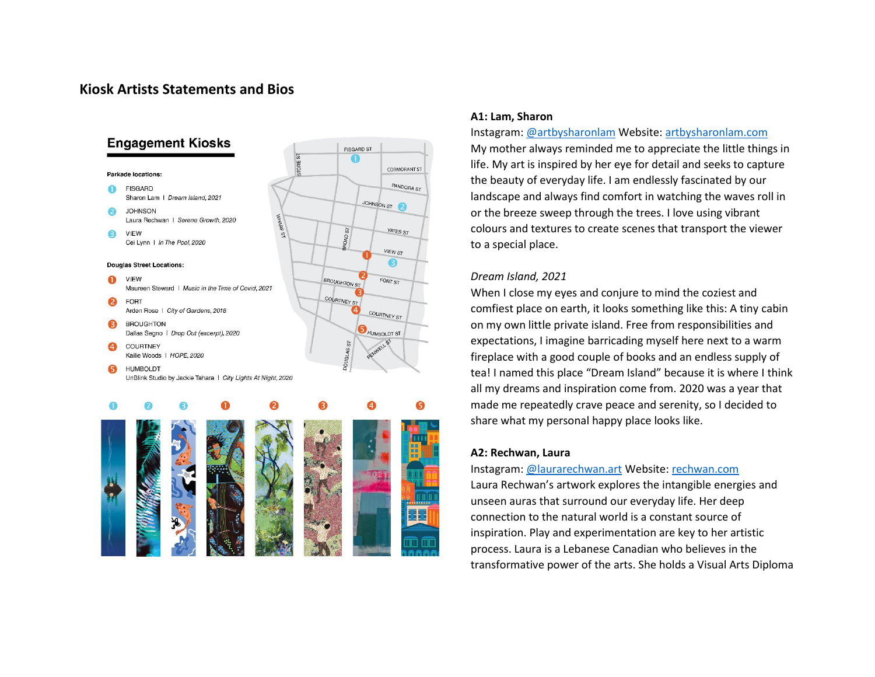# **Kiosk Artists Statements and Bios**



#### **A1: Lam, Sharon**

Instagram[: @artbysharonlam](https://www.instagram.com/artbysharonlam/) Website: [artbysharonlam.com](https://www.artbysharonlam.com/) My mother always reminded me to appreciate the little things in life. My art is inspired by her eye for detail and seeks to capture the beauty of everyday life. I am endlessly fascinated by our landscape and always find comfort in watching the waves roll in or the breeze sweep through the trees. I love using vibrant colours and textures to create scenes that transport the viewer to a special place.

#### *Dream Island, 2021*

When I close my eyes and conjure to mind the coziest and comfiest place on earth, it looks something like this: A tiny cabin on my own little private island. Free from responsibilities and expectations, I imagine barricading myself here next to a warm fireplace with a good couple of books and an endless supply of tea! I named this place "Dream Island" because it is where I think all my dreams and inspiration come from. 2020 was a year that made me repeatedly crave peace and serenity, so I decided to share what my personal happy place looks like.

#### **A2: Rechwan, Laura**

Instagram[: @laurarechwan.art](https://www.instagram.com/laurarechwan.art/) Website: [rechwan.com](https://www.rechwan.com/) Laura Rechwan's artwork explores the intangible energies and unseen auras that surround our everyday life. Her deep connection to the natural world is a constant source of inspiration. Play and experimentation are key to her artistic process. Laura is a Lebanese Canadian who believes in the transformative power of the arts. She holds a Visual Arts Diploma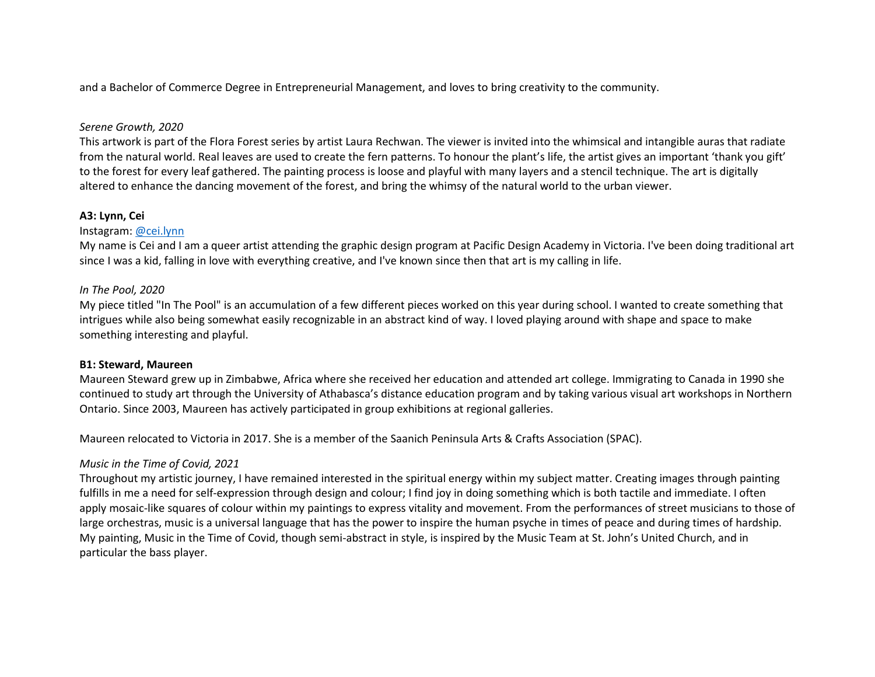and a Bachelor of Commerce Degree in Entrepreneurial Management, and loves to bring creativity to the community.

## *Serene Growth, 2020*

This artwork is part of the Flora Forest series by artist Laura Rechwan. The viewer is invited into the whimsical and intangible auras that radiate from the natural world. Real leaves are used to create the fern patterns. To honour the plant's life, the artist gives an important 'thank you gift' to the forest for every leaf gathered. The painting process is loose and playful with many layers and a stencil technique. The art is digitally altered to enhance the dancing movement of the forest, and bring the whimsy of the natural world to the urban viewer.

### **A3: Lynn, Cei**

### Instagram: [@cei.lynn](https://www.instagram.com/cei.lynn/)

My name is Cei and I am a queer artist attending the graphic design program at Pacific Design Academy in Victoria. I've been doing traditional art since I was a kid, falling in love with everything creative, and I've known since then that art is my calling in life.

### *In The Pool, 2020*

My piece titled "In The Pool" is an accumulation of a few different pieces worked on this year during school. I wanted to create something that intrigues while also being somewhat easily recognizable in an abstract kind of way. I loved playing around with shape and space to make something interesting and playful.

### **B1: Steward, Maureen**

Maureen Steward grew up in Zimbabwe, Africa where she received her education and attended art college. Immigrating to Canada in 1990 she continued to study art through the University of Athabasca's distance education program and by taking various visual art workshops in Northern Ontario. Since 2003, Maureen has actively participated in group exhibitions at regional galleries.

Maureen relocated to Victoria in 2017. She is a member of the Saanich Peninsula Arts & Crafts Association (SPAC).

## *Music in the Time of Covid, 2021*

Throughout my artistic journey, I have remained interested in the spiritual energy within my subject matter. Creating images through painting fulfills in me a need for self-expression through design and colour; I find joy in doing something which is both tactile and immediate. I often apply mosaic-like squares of colour within my paintings to express vitality and movement. From the performances of street musicians to those of large orchestras, music is a universal language that has the power to inspire the human psyche in times of peace and during times of hardship. My painting, Music in the Time of Covid, though semi-abstract in style, is inspired by the Music Team at St. John's United Church, and in particular the bass player.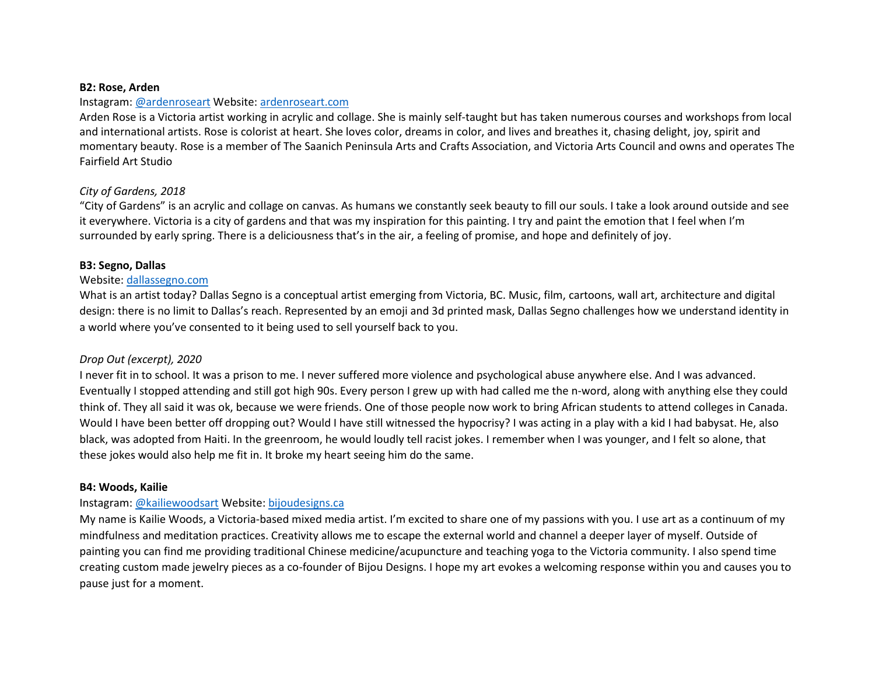#### **B2: Rose, Arden**

### Instagram: [@ardenroseart](https://www.instagram.com/ardenroseart/) Website[: ardenroseart.com](https://www.ardenroseart.com/)

Arden Rose is a Victoria artist working in acrylic and collage. She is mainly self-taught but has taken numerous courses and workshops from local and international artists. Rose is colorist at heart. She loves color, dreams in color, and lives and breathes it, chasing delight, joy, spirit and momentary beauty. Rose is a member of The Saanich Peninsula Arts and Crafts Association, and Victoria Arts Council and owns and operates The Fairfield Art Studio

## *City of Gardens, 2018*

"City of Gardens" is an acrylic and collage on canvas. As humans we constantly seek beauty to fill our souls. I take a look around outside and see it everywhere. Victoria is a city of gardens and that was my inspiration for this painting. I try and paint the emotion that I feel when I'm surrounded by early spring. There is a deliciousness that's in the air, a feeling of promise, and hope and definitely of joy.

### **B3: Segno, Dallas**

### Website[: dallassegno.com](https://www.dallassegno.com/)

What is an artist today? Dallas Segno is a conceptual artist emerging from Victoria, BC. Music, film, cartoons, wall art, architecture and digital design: there is no limit to Dallas's reach. Represented by an emoji and 3d printed mask, Dallas Segno challenges how we understand identity in a world where you've consented to it being used to sell yourself back to you.

## *Drop Out (excerpt), 2020*

I never fit in to school. It was a prison to me. I never suffered more violence and psychological abuse anywhere else. And I was advanced. Eventually I stopped attending and still got high 90s. Every person I grew up with had called me the n-word, along with anything else they could think of. They all said it was ok, because we were friends. One of those people now work to bring African students to attend colleges in Canada. Would I have been better off dropping out? Would I have still witnessed the hypocrisy? I was acting in a play with a kid I had babysat. He, also black, was adopted from Haiti. In the greenroom, he would loudly tell racist jokes. I remember when I was younger, and I felt so alone, that these jokes would also help me fit in. It broke my heart seeing him do the same.

### **B4: Woods, Kailie**

### Instagram: [@kailiewoodsart](https://www.instagram.com/kailiewoodsart/) Website[: bijoudesigns.ca](https://bijoudesigns.ca/)

My name is Kailie Woods, a Victoria-based mixed media artist. I'm excited to share one of my passions with you. I use art as a continuum of my mindfulness and meditation practices. Creativity allows me to escape the external world and channel a deeper layer of myself. Outside of painting you can find me providing traditional Chinese medicine/acupuncture and teaching yoga to the Victoria community. I also spend time creating custom made jewelry pieces as a co-founder of Bijou Designs. I hope my art evokes a welcoming response within you and causes you to pause just for a moment.